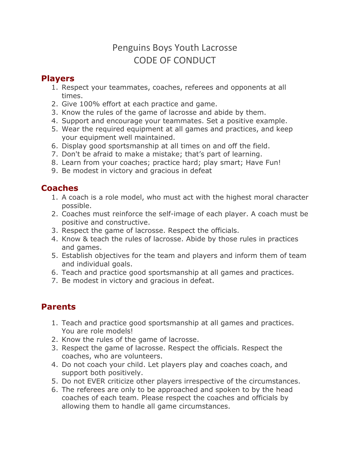# Penguins Boys Youth Lacrosse CODE OF CONDUCT

#### **Players**

- 1. Respect your teammates, coaches, referees and opponents at all times.
- 2. Give 100% effort at each practice and game.
- 3. Know the rules of the game of lacrosse and abide by them.
- 4. Support and encourage your teammates. Set a positive example.
- 5. Wear the required equipment at all games and practices, and keep your equipment well maintained.
- 6. Display good sportsmanship at all times on and off the field.
- 7. Don't be afraid to make a mistake; that's part of learning.
- 8. Learn from your coaches; practice hard; play smart; Have Fun!
- 9. Be modest in victory and gracious in defeat

## **Coaches**

- 1. A coach is a role model, who must act with the highest moral character possible.
- 2. Coaches must reinforce the self-image of each player. A coach must be positive and constructive.
- 3. Respect the game of lacrosse. Respect the officials.
- 4. Know & teach the rules of lacrosse. Abide by those rules in practices and games.
- 5. Establish objectives for the team and players and inform them of team and individual goals.
- 6. Teach and practice good sportsmanship at all games and practices.
- 7. Be modest in victory and gracious in defeat.

## **Parents**

- 1. Teach and practice good sportsmanship at all games and practices. You are role models!
- 2. Know the rules of the game of lacrosse.
- 3. Respect the game of lacrosse. Respect the officials. Respect the coaches, who are volunteers.
- 4. Do not coach your child. Let players play and coaches coach, and support both positively.
- 5. Do not EVER criticize other players irrespective of the circumstances.
- 6. The referees are only to be approached and spoken to by the head coaches of each team. Please respect the coaches and officials by allowing them to handle all game circumstances.